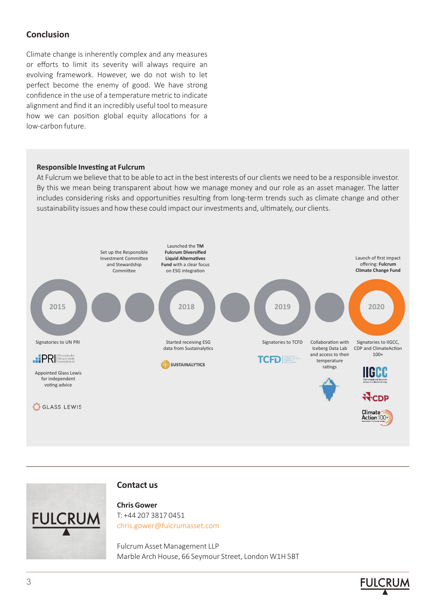## **Conclusion**

Climate change is inherently complex and any measures or efforts to limit its severity will always require an evolving framework. However, we do not wish to let perfect become the enemy of good. We have strong confidence in the use of a temperature metric to indicate alignment and find it an incredibly useful tool to measure how we can position global equity allocations for a low-carbon future.

## **Responsible Investing at Fulcrum**

At Fulcrum we believe that to be able to act in the best interests of our clients we need to be a responsible investor. By this we mean being transparent about how we manage money and our role as an asset manager. The latter includes considering risks and opportunities resulting from long-term trends such as climate change and other sustainability issues and how these could impact our investments and, ultimately, our clients.